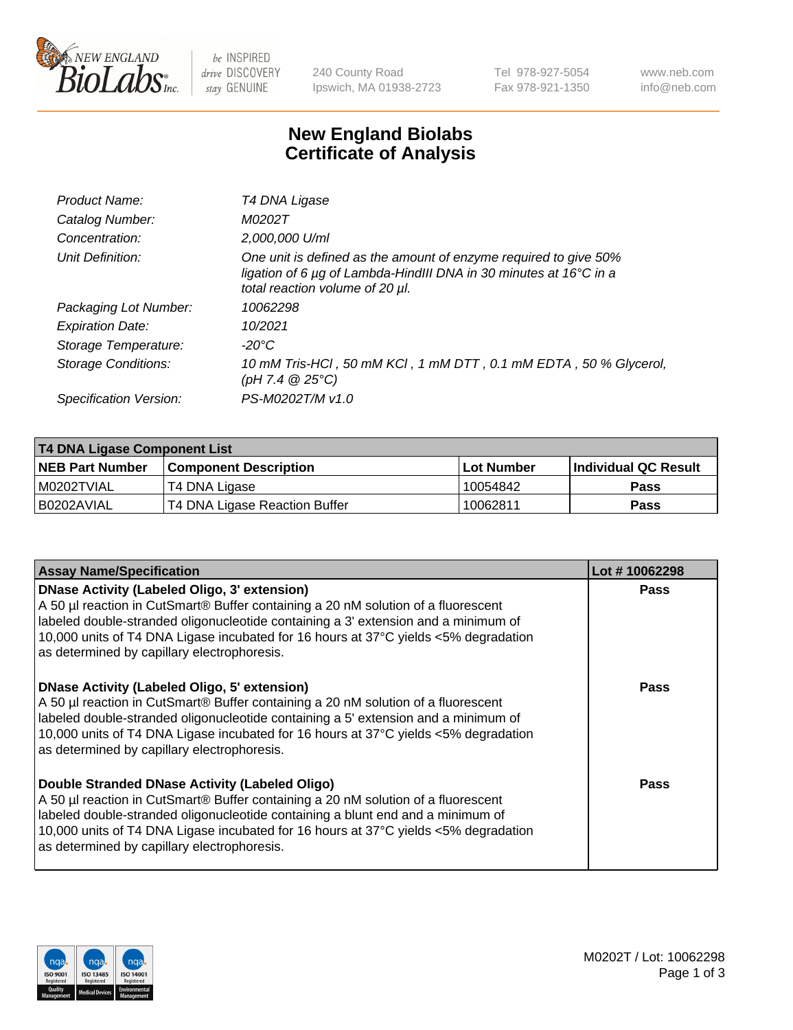

be INSPIRED drive DISCOVERY stay GENUINE

240 County Road Ipswich, MA 01938-2723 Tel 978-927-5054 Fax 978-921-1350 www.neb.com info@neb.com

## **New England Biolabs Certificate of Analysis**

| Product Name:              | T4 DNA Ligase                                                                                                                                                            |
|----------------------------|--------------------------------------------------------------------------------------------------------------------------------------------------------------------------|
| Catalog Number:            | M0202T                                                                                                                                                                   |
| Concentration:             | 2,000,000 U/ml                                                                                                                                                           |
| Unit Definition:           | One unit is defined as the amount of enzyme required to give 50%<br>ligation of 6 µg of Lambda-HindIII DNA in 30 minutes at 16°C in a<br>total reaction volume of 20 µl. |
| Packaging Lot Number:      | 10062298                                                                                                                                                                 |
| <b>Expiration Date:</b>    | 10/2021                                                                                                                                                                  |
| Storage Temperature:       | -20°C                                                                                                                                                                    |
| <b>Storage Conditions:</b> | 10 mM Tris-HCl, 50 mM KCl, 1 mM DTT, 0.1 mM EDTA, 50 % Glycerol,<br>(pH 7.4 $@25°C$ )                                                                                    |
| Specification Version:     | PS-M0202T/M v1.0                                                                                                                                                         |

| <b>T4 DNA Ligase Component List</b> |                               |            |                      |  |  |
|-------------------------------------|-------------------------------|------------|----------------------|--|--|
| <b>NEB Part Number</b>              | <b>Component Description</b>  | Lot Number | Individual QC Result |  |  |
| IM0202TVIAL                         | T4 DNA Ligase                 | 10054842   | <b>Pass</b>          |  |  |
| B0202AVIAL                          | T4 DNA Ligase Reaction Buffer | 10062811   | <b>Pass</b>          |  |  |

| <b>Assay Name/Specification</b>                                                                                                                                                                                                                                                                                                                               | Lot #10062298 |
|---------------------------------------------------------------------------------------------------------------------------------------------------------------------------------------------------------------------------------------------------------------------------------------------------------------------------------------------------------------|---------------|
| DNase Activity (Labeled Oligo, 3' extension)<br>A 50 µl reaction in CutSmart® Buffer containing a 20 nM solution of a fluorescent<br>labeled double-stranded oligonucleotide containing a 3' extension and a minimum of<br>10,000 units of T4 DNA Ligase incubated for 16 hours at 37°C yields <5% degradation<br>as determined by capillary electrophoresis. | <b>Pass</b>   |
| DNase Activity (Labeled Oligo, 5' extension)<br>A 50 µl reaction in CutSmart® Buffer containing a 20 nM solution of a fluorescent<br>labeled double-stranded oligonucleotide containing a 5' extension and a minimum of<br>10,000 units of T4 DNA Ligase incubated for 16 hours at 37°C yields <5% degradation<br>as determined by capillary electrophoresis. | <b>Pass</b>   |
| Double Stranded DNase Activity (Labeled Oligo)<br>A 50 µl reaction in CutSmart® Buffer containing a 20 nM solution of a fluorescent<br>abeled double-stranded oligonucleotide containing a blunt end and a minimum of<br>10,000 units of T4 DNA Ligase incubated for 16 hours at 37°C yields <5% degradation<br>as determined by capillary electrophoresis.   | Pass          |

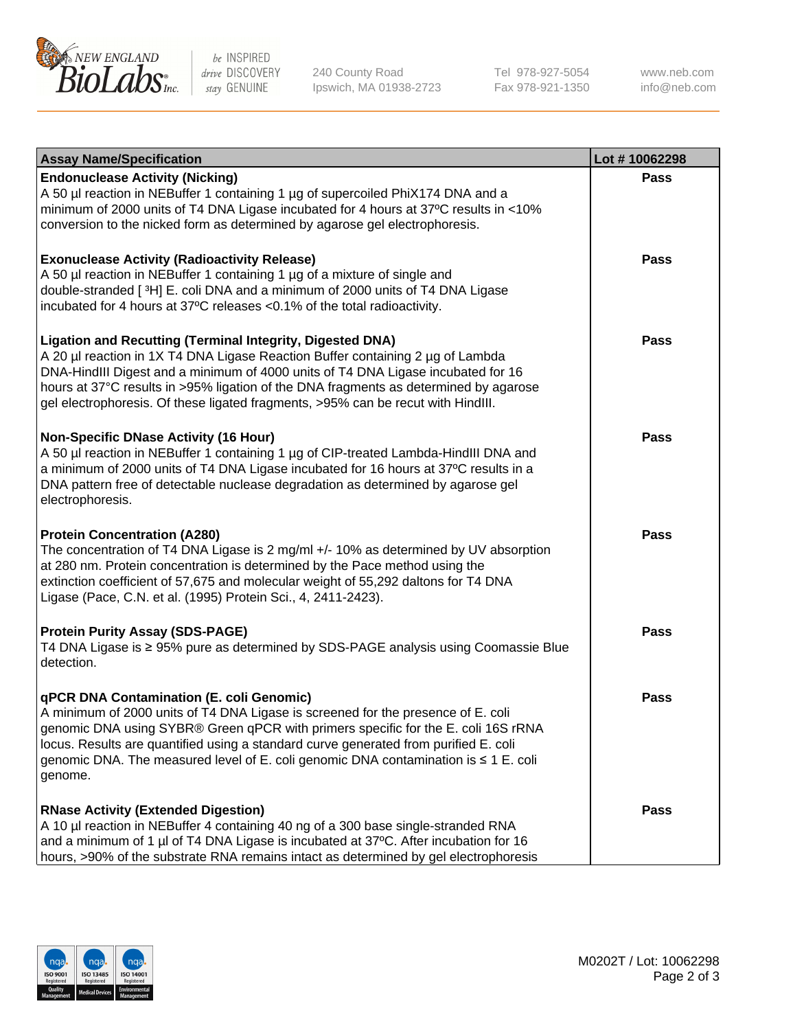

be INSPIRED drive DISCOVERY stay GENUINE

240 County Road Ipswich, MA 01938-2723 Tel 978-927-5054 Fax 978-921-1350

www.neb.com info@neb.com

| <b>Assay Name/Specification</b>                                                                                                                                                                                                                                                                                                                                                                                    | Lot #10062298 |
|--------------------------------------------------------------------------------------------------------------------------------------------------------------------------------------------------------------------------------------------------------------------------------------------------------------------------------------------------------------------------------------------------------------------|---------------|
| <b>Endonuclease Activity (Nicking)</b><br>A 50 µl reaction in NEBuffer 1 containing 1 µg of supercoiled PhiX174 DNA and a<br>minimum of 2000 units of T4 DNA Ligase incubated for 4 hours at 37°C results in <10%<br>conversion to the nicked form as determined by agarose gel electrophoresis.                                                                                                                   | <b>Pass</b>   |
| <b>Exonuclease Activity (Radioactivity Release)</b><br>A 50 µl reaction in NEBuffer 1 containing 1 µg of a mixture of single and<br>double-stranded [3H] E. coli DNA and a minimum of 2000 units of T4 DNA Ligase<br>incubated for 4 hours at 37°C releases <0.1% of the total radioactivity.                                                                                                                      | <b>Pass</b>   |
| <b>Ligation and Recutting (Terminal Integrity, Digested DNA)</b><br>A 20 µl reaction in 1X T4 DNA Ligase Reaction Buffer containing 2 µg of Lambda<br>DNA-HindIII Digest and a minimum of 4000 units of T4 DNA Ligase incubated for 16<br>hours at 37°C results in >95% ligation of the DNA fragments as determined by agarose<br>gel electrophoresis. Of these ligated fragments, >95% can be recut with HindIII. | <b>Pass</b>   |
| <b>Non-Specific DNase Activity (16 Hour)</b><br>A 50 µl reaction in NEBuffer 1 containing 1 µg of CIP-treated Lambda-HindIII DNA and<br>a minimum of 2000 units of T4 DNA Ligase incubated for 16 hours at 37°C results in a<br>DNA pattern free of detectable nuclease degradation as determined by agarose gel<br>electrophoresis.                                                                               | <b>Pass</b>   |
| <b>Protein Concentration (A280)</b><br>The concentration of T4 DNA Ligase is 2 mg/ml +/- 10% as determined by UV absorption<br>at 280 nm. Protein concentration is determined by the Pace method using the<br>extinction coefficient of 57,675 and molecular weight of 55,292 daltons for T4 DNA<br>Ligase (Pace, C.N. et al. (1995) Protein Sci., 4, 2411-2423).                                                  | <b>Pass</b>   |
| <b>Protein Purity Assay (SDS-PAGE)</b><br>T4 DNA Ligase is ≥ 95% pure as determined by SDS-PAGE analysis using Coomassie Blue<br>detection.                                                                                                                                                                                                                                                                        | <b>Pass</b>   |
| qPCR DNA Contamination (E. coli Genomic)<br>A minimum of 2000 units of T4 DNA Ligase is screened for the presence of E. coli<br>genomic DNA using SYBR® Green qPCR with primers specific for the E. coli 16S rRNA<br>locus. Results are quantified using a standard curve generated from purified E. coli<br>genomic DNA. The measured level of E. coli genomic DNA contamination is ≤ 1 E. coli<br>genome.        | Pass          |
| <b>RNase Activity (Extended Digestion)</b><br>A 10 µl reaction in NEBuffer 4 containing 40 ng of a 300 base single-stranded RNA<br>and a minimum of 1 µl of T4 DNA Ligase is incubated at 37°C. After incubation for 16<br>hours, >90% of the substrate RNA remains intact as determined by gel electrophoresis                                                                                                    | <b>Pass</b>   |